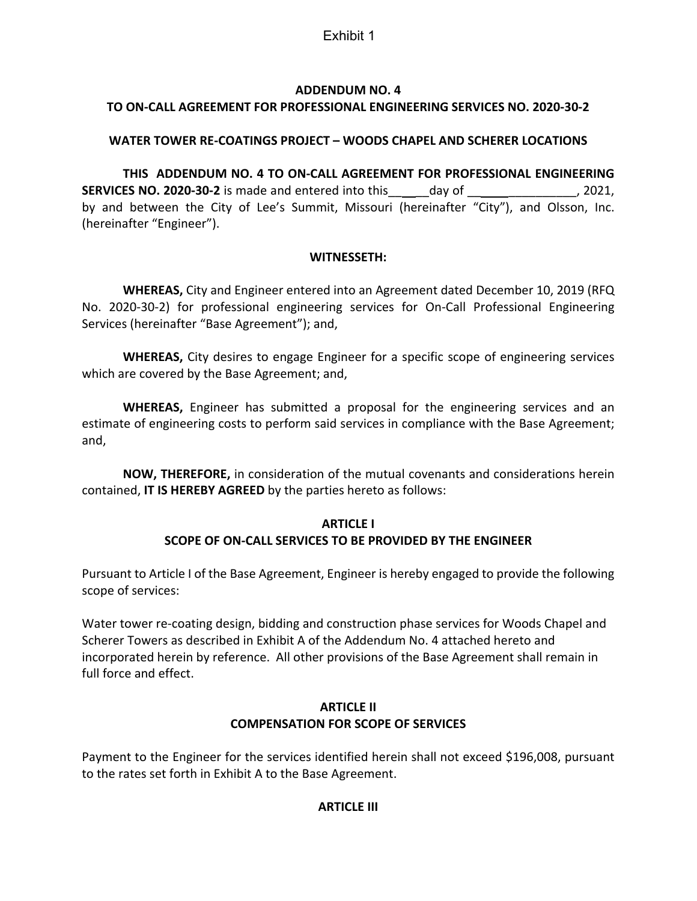## Exhibit 1

## **ADDENDUM NO. 4**

## **TO ON‐CALL AGREEMENT FOR PROFESSIONAL ENGINEERING SERVICES NO. 2020‐30‐2**

## **WATER TOWER RE‐COATINGS PROJECT – WOODS CHAPEL AND SCHERER LOCATIONS**

**THIS ADDENDUM NO. 4 TO ON‐CALL AGREEMENT FOR PROFESSIONAL ENGINEERING SERVICES NO. 2020‐30‐2** is made and entered into this\_\_ \_\_day of \_\_ \_\_\_\_\_\_\_\_\_\_, 2021, by and between the City of Lee's Summit, Missouri (hereinafter "City"), and Olsson, Inc. (hereinafter "Engineer").

## **WITNESSETH:**

**WHEREAS,** City and Engineer entered into an Agreement dated December 10, 2019 (RFQ No. 2020-30-2) for professional engineering services for On-Call Professional Engineering Services (hereinafter "Base Agreement"); and,

**WHEREAS,** City desires to engage Engineer for a specific scope of engineering services which are covered by the Base Agreement; and,

**WHEREAS,** Engineer has submitted a proposal for the engineering services and an estimate of engineering costs to perform said services in compliance with the Base Agreement; and,

**NOW, THEREFORE,** in consideration of the mutual covenants and considerations herein contained, **IT IS HEREBY AGREED** by the parties hereto as follows:

## **ARTICLE I SCOPE OF ON‐CALL SERVICES TO BE PROVIDED BY THE ENGINEER**

Pursuant to Article I of the Base Agreement, Engineer is hereby engaged to provide the following scope of services:

Water tower re-coating design, bidding and construction phase services for Woods Chapel and Scherer Towers as described in Exhibit A of the Addendum No. 4 attached hereto and incorporated herein by reference. All other provisions of the Base Agreement shall remain in full force and effect.

## **ARTICLE II COMPENSATION FOR SCOPE OF SERVICES**

Payment to the Engineer for the services identified herein shall not exceed \$196,008, pursuant to the rates set forth in Exhibit A to the Base Agreement.

## **ARTICLE III**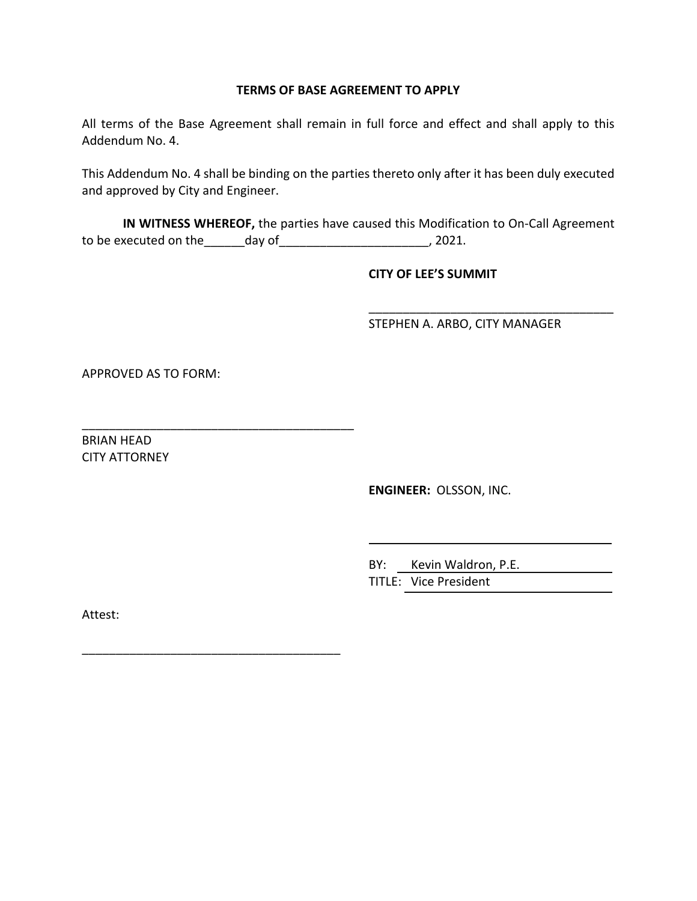#### **TERMS OF BASE AGREEMENT TO APPLY**

All terms of the Base Agreement shall remain in full force and effect and shall apply to this Addendum No. 4.

This Addendum No. 4 shall be binding on the parties thereto only after it has been duly executed and approved by City and Engineer.

**IN WITNESS WHEREOF,** the parties have caused this Modification to On‐Call Agreement to be executed on the\_\_\_\_\_\_day of\_\_\_\_\_\_\_\_\_\_\_\_\_\_\_\_\_\_\_\_\_\_, 2021.

## **CITY OF LEE'S SUMMIT**

STEPHEN A. ARBO, CITY MANAGER

\_\_\_\_\_\_\_\_\_\_\_\_\_\_\_\_\_\_\_\_\_\_\_\_\_\_\_\_\_\_\_\_\_\_\_\_

APPROVED AS TO FORM:

\_\_\_\_\_\_\_\_\_\_\_\_\_\_\_\_\_\_\_\_\_\_\_\_\_\_\_\_\_\_\_\_\_\_\_\_\_\_\_\_

\_\_\_\_\_\_\_\_\_\_\_\_\_\_\_\_\_\_\_\_\_\_\_\_\_\_\_\_\_\_\_\_\_\_\_\_\_\_

BRIAN HEAD CITY ATTORNEY

**ENGINEER:** OLSSON, INC.

BY: Kevin Waldron, P.E. TITLE: Vice President

Attest: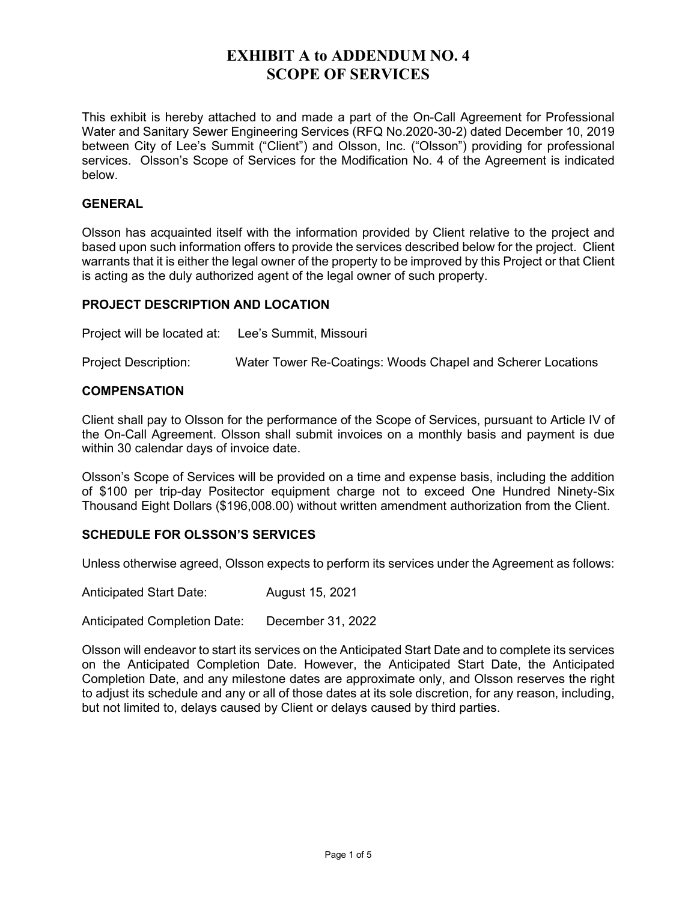## **EXHIBIT A to ADDENDUM NO. 4 SCOPE OF SERVICES**

This exhibit is hereby attached to and made a part of the On-Call Agreement for Professional Water and Sanitary Sewer Engineering Services (RFQ No.2020-30-2) dated December 10, 2019 between City of Lee's Summit ("Client") and Olsson, Inc. ("Olsson") providing for professional services. Olsson's Scope of Services for the Modification No. 4 of the Agreement is indicated below.

## **GENERAL**

Olsson has acquainted itself with the information provided by Client relative to the project and based upon such information offers to provide the services described below for the project. Client warrants that it is either the legal owner of the property to be improved by this Project or that Client is acting as the duly authorized agent of the legal owner of such property.

#### **PROJECT DESCRIPTION AND LOCATION**

Project will be located at: Lee's Summit, Missouri

Project Description: Water Tower Re-Coatings: Woods Chapel and Scherer Locations

#### **COMPENSATION**

Client shall pay to Olsson for the performance of the Scope of Services, pursuant to Article IV of the On-Call Agreement. Olsson shall submit invoices on a monthly basis and payment is due within 30 calendar days of invoice date.

Olsson's Scope of Services will be provided on a time and expense basis, including the addition of \$100 per trip-day Positector equipment charge not to exceed One Hundred Ninety-Six Thousand Eight Dollars (\$196,008.00) without written amendment authorization from the Client.

#### **SCHEDULE FOR OLSSON'S SERVICES**

Unless otherwise agreed, Olsson expects to perform its services under the Agreement as follows:

Anticipated Start Date: August 15, 2021

Anticipated Completion Date: December 31, 2022

Olsson will endeavor to start its services on the Anticipated Start Date and to complete its services on the Anticipated Completion Date. However, the Anticipated Start Date, the Anticipated Completion Date, and any milestone dates are approximate only, and Olsson reserves the right to adjust its schedule and any or all of those dates at its sole discretion, for any reason, including, but not limited to, delays caused by Client or delays caused by third parties.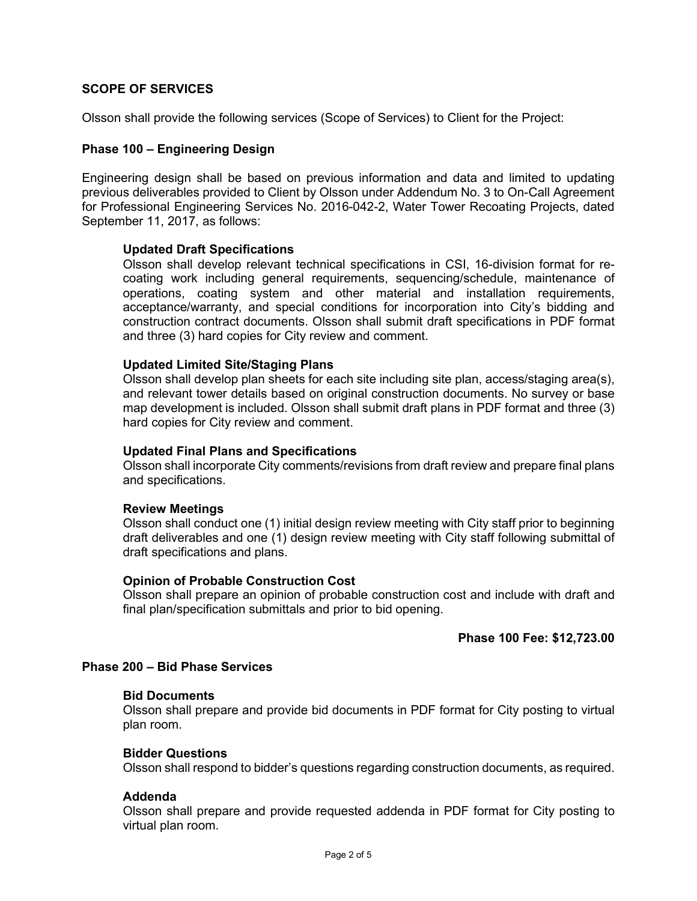## **SCOPE OF SERVICES**

Olsson shall provide the following services (Scope of Services) to Client for the Project:

#### **Phase 100 – Engineering Design**

Engineering design shall be based on previous information and data and limited to updating previous deliverables provided to Client by Olsson under Addendum No. 3 to On-Call Agreement for Professional Engineering Services No. 2016-042-2, Water Tower Recoating Projects, dated September 11, 2017, as follows:

#### **Updated Draft Specifications**

Olsson shall develop relevant technical specifications in CSI, 16-division format for recoating work including general requirements, sequencing/schedule, maintenance of operations, coating system and other material and installation requirements, acceptance/warranty, and special conditions for incorporation into City's bidding and construction contract documents. Olsson shall submit draft specifications in PDF format and three (3) hard copies for City review and comment.

#### **Updated Limited Site/Staging Plans**

Olsson shall develop plan sheets for each site including site plan, access/staging area(s), and relevant tower details based on original construction documents. No survey or base map development is included. Olsson shall submit draft plans in PDF format and three (3) hard copies for City review and comment.

#### **Updated Final Plans and Specifications**

Olsson shall incorporate City comments/revisions from draft review and prepare final plans and specifications.

#### **Review Meetings**

Olsson shall conduct one (1) initial design review meeting with City staff prior to beginning draft deliverables and one (1) design review meeting with City staff following submittal of draft specifications and plans.

#### **Opinion of Probable Construction Cost**

Olsson shall prepare an opinion of probable construction cost and include with draft and final plan/specification submittals and prior to bid opening.

#### **Phase 100 Fee: \$12,723.00**

#### **Phase 200 – Bid Phase Services**

#### **Bid Documents**

Olsson shall prepare and provide bid documents in PDF format for City posting to virtual plan room.

#### **Bidder Questions**

Olsson shall respond to bidder's questions regarding construction documents, as required.

#### **Addenda**

Olsson shall prepare and provide requested addenda in PDF format for City posting to virtual plan room.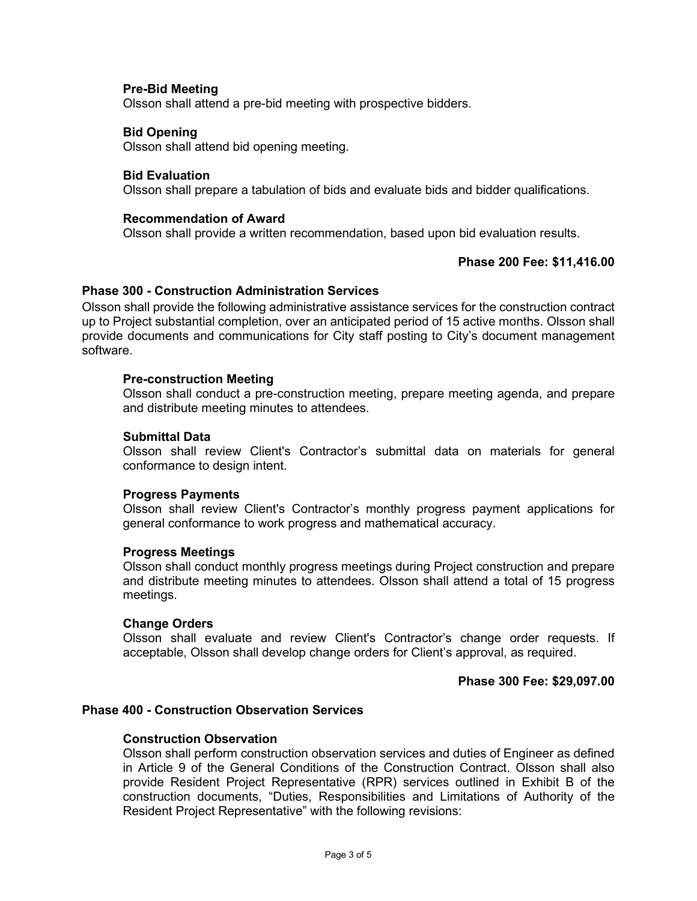#### **Pre-Bid Meeting**

Olsson shall attend a pre-bid meeting with prospective bidders.

#### **Bid Opening**

Olsson shall attend bid opening meeting.

#### **Bid Evaluation**

Olsson shall prepare a tabulation of bids and evaluate bids and bidder qualifications.

#### **Recommendation of Award**

Olsson shall provide a written recommendation, based upon bid evaluation results.

#### **Phase 200 Fee: \$11,416.00**

#### **Phase 300 - Construction Administration Services**

Olsson shall provide the following administrative assistance services for the construction contract up to Project substantial completion, over an anticipated period of 15 active months. Olsson shall provide documents and communications for City staff posting to City's document management software.

#### **Pre-construction Meeting**

 Olsson shall conduct a pre-construction meeting, prepare meeting agenda, and prepare and distribute meeting minutes to attendees.

#### **Submittal Data**

 Olsson shall review Client's Contractor's submittal data on materials for general conformance to design intent.

#### **Progress Payments**

 Olsson shall review Client's Contractor's monthly progress payment applications for general conformance to work progress and mathematical accuracy.

#### **Progress Meetings**

 Olsson shall conduct monthly progress meetings during Project construction and prepare and distribute meeting minutes to attendees. Olsson shall attend a total of 15 progress meetings.

#### **Change Orders**

 Olsson shall evaluate and review Client's Contractor's change order requests. If acceptable, Olsson shall develop change orders for Client's approval, as required.

#### **Phase 300 Fee: \$29,097.00**

#### **Phase 400 - Construction Observation Services**

#### **Construction Observation**

Olsson shall perform construction observation services and duties of Engineer as defined in Article 9 of the General Conditions of the Construction Contract. Olsson shall also provide Resident Project Representative (RPR) services outlined in Exhibit B of the construction documents, "Duties, Responsibilities and Limitations of Authority of the Resident Project Representative" with the following revisions: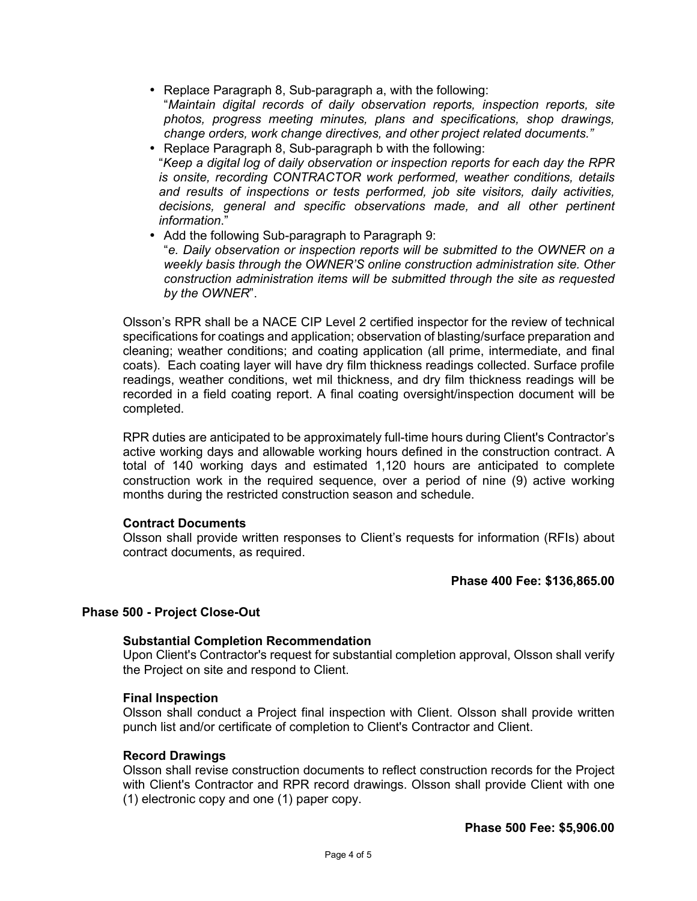- Replace Paragraph 8, Sub-paragraph a, with the following: "*Maintain digital records of daily observation reports, inspection reports, site photos, progress meeting minutes, plans and specifications, shop drawings, change orders, work change directives, and other project related documents."*
- Replace Paragraph 8, Sub-paragraph b with the following: "*Keep a digital log of daily observation or inspection reports for each day the RPR is onsite, recording CONTRACTOR work performed, weather conditions, details and results of inspections or tests performed, job site visitors, daily activities, decisions, general and specific observations made, and all other pertinent information*."
- Add the following Sub-paragraph to Paragraph 9: "*e. Daily observation or inspection reports will be submitted to the OWNER on a weekly basis through the OWNER'S online construction administration site. Other construction administration items will be submitted through the site as requested by the OWNER*".

Olsson's RPR shall be a NACE CIP Level 2 certified inspector for the review of technical specifications for coatings and application; observation of blasting/surface preparation and cleaning; weather conditions; and coating application (all prime, intermediate, and final coats). Each coating layer will have dry film thickness readings collected. Surface profile readings, weather conditions, wet mil thickness, and dry film thickness readings will be recorded in a field coating report. A final coating oversight/inspection document will be completed.

RPR duties are anticipated to be approximately full-time hours during Client's Contractor's active working days and allowable working hours defined in the construction contract. A total of 140 working days and estimated 1,120 hours are anticipated to complete construction work in the required sequence, over a period of nine (9) active working months during the restricted construction season and schedule.

## **Contract Documents**

 Olsson shall provide written responses to Client's requests for information (RFIs) about contract documents, as required.

## **Phase 400 Fee: \$136,865.00**

#### **Phase 500 - Project Close-Out**

#### **Substantial Completion Recommendation**

Upon Client's Contractor's request for substantial completion approval, Olsson shall verify the Project on site and respond to Client.

#### **Final Inspection**

 Olsson shall conduct a Project final inspection with Client. Olsson shall provide written punch list and/or certificate of completion to Client's Contractor and Client.

#### **Record Drawings**

 Olsson shall revise construction documents to reflect construction records for the Project with Client's Contractor and RPR record drawings. Olsson shall provide Client with one (1) electronic copy and one (1) paper copy.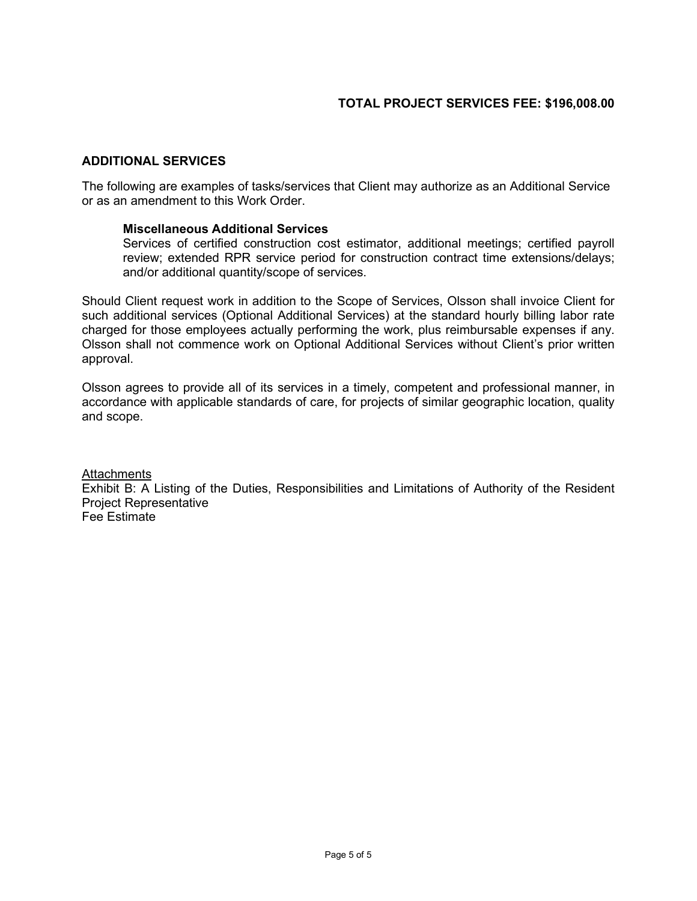## **ADDITIONAL SERVICES**

The following are examples of tasks/services that Client may authorize as an Additional Service or as an amendment to this Work Order.

#### **Miscellaneous Additional Services**

Services of certified construction cost estimator, additional meetings; certified payroll review; extended RPR service period for construction contract time extensions/delays; and/or additional quantity/scope of services.

Should Client request work in addition to the Scope of Services, Olsson shall invoice Client for such additional services (Optional Additional Services) at the standard hourly billing labor rate charged for those employees actually performing the work, plus reimbursable expenses if any. Olsson shall not commence work on Optional Additional Services without Client's prior written approval.

Olsson agrees to provide all of its services in a timely, competent and professional manner, in accordance with applicable standards of care, for projects of similar geographic location, quality and scope.

**Attachments** 

Exhibit B: A Listing of the Duties, Responsibilities and Limitations of Authority of the Resident Project Representative Fee Estimate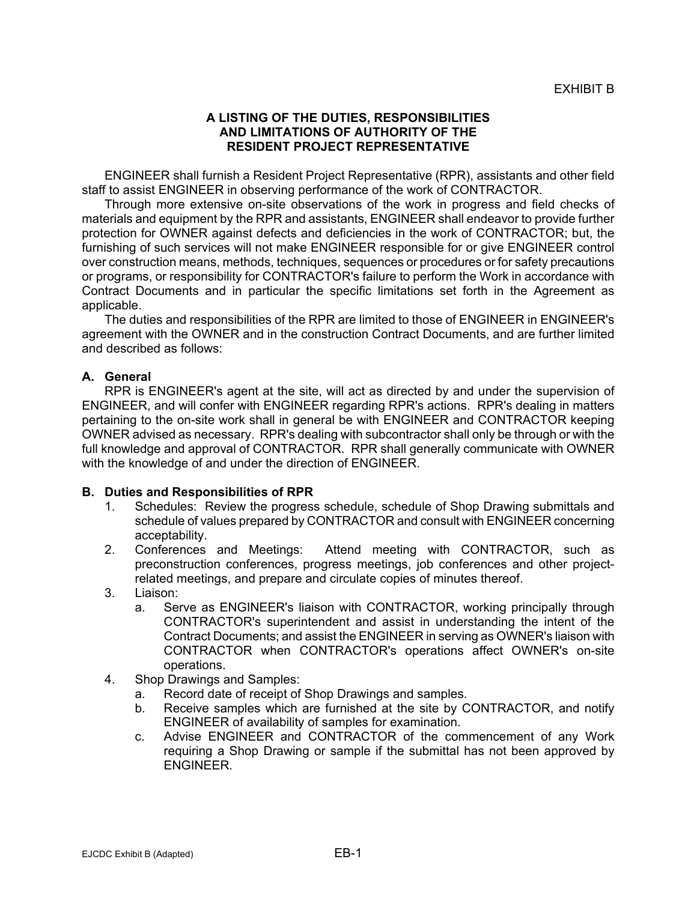## **A LISTING OF THE DUTIES, RESPONSIBILITIES AND LIMITATIONS OF AUTHORITY OF THE RESIDENT PROJECT REPRESENTATIVE**

ENGINEER shall furnish a Resident Project Representative (RPR), assistants and other field staff to assist ENGINEER in observing performance of the work of CONTRACTOR.

Through more extensive on-site observations of the work in progress and field checks of materials and equipment by the RPR and assistants, ENGINEER shall endeavor to provide further protection for OWNER against defects and deficiencies in the work of CONTRACTOR; but, the furnishing of such services will not make ENGINEER responsible for or give ENGINEER control over construction means, methods, techniques, sequences or procedures or for safety precautions or programs, or responsibility for CONTRACTOR's failure to perform the Work in accordance with Contract Documents and in particular the specific limitations set forth in the Agreement as applicable.

The duties and responsibilities of the RPR are limited to those of ENGINEER in ENGINEER's agreement with the OWNER and in the construction Contract Documents, and are further limited and described as follows:

## **A. General**

RPR is ENGINEER's agent at the site, will act as directed by and under the supervision of ENGINEER, and will confer with ENGINEER regarding RPR's actions. RPR's dealing in matters pertaining to the on-site work shall in general be with ENGINEER and CONTRACTOR keeping OWNER advised as necessary. RPR's dealing with subcontractor shall only be through or with the full knowledge and approval of CONTRACTOR. RPR shall generally communicate with OWNER with the knowledge of and under the direction of ENGINEER.

#### **B. Duties and Responsibilities of RPR**

- 1. Schedules: Review the progress schedule, schedule of Shop Drawing submittals and schedule of values prepared by CONTRACTOR and consult with ENGINEER concerning acceptability.
- 2. Conferences and Meetings: Attend meeting with CONTRACTOR, such as preconstruction conferences, progress meetings, job conferences and other projectrelated meetings, and prepare and circulate copies of minutes thereof.
- 3. Liaison:
	- a. Serve as ENGINEER's liaison with CONTRACTOR, working principally through CONTRACTOR's superintendent and assist in understanding the intent of the Contract Documents; and assist the ENGINEER in serving as OWNER's liaison with CONTRACTOR when CONTRACTOR's operations affect OWNER's on-site operations.
- 4. Shop Drawings and Samples:
	- a. Record date of receipt of Shop Drawings and samples.
	- b. Receive samples which are furnished at the site by CONTRACTOR, and notify ENGINEER of availability of samples for examination.
	- c. Advise ENGINEER and CONTRACTOR of the commencement of any Work requiring a Shop Drawing or sample if the submittal has not been approved by ENGINEER.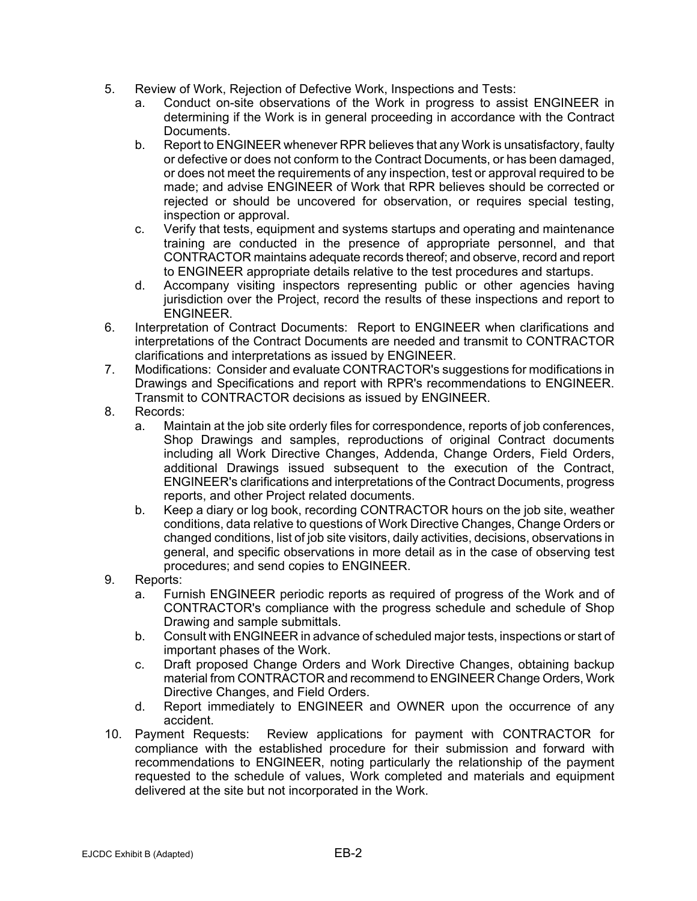- 5. Review of Work, Rejection of Defective Work, Inspections and Tests:
	- a. Conduct on-site observations of the Work in progress to assist ENGINEER in determining if the Work is in general proceeding in accordance with the Contract Documents.
	- b. Report to ENGINEER whenever RPR believes that any Work is unsatisfactory, faulty or defective or does not conform to the Contract Documents, or has been damaged, or does not meet the requirements of any inspection, test or approval required to be made; and advise ENGINEER of Work that RPR believes should be corrected or rejected or should be uncovered for observation, or requires special testing, inspection or approval.
	- c. Verify that tests, equipment and systems startups and operating and maintenance training are conducted in the presence of appropriate personnel, and that CONTRACTOR maintains adequate records thereof; and observe, record and report to ENGINEER appropriate details relative to the test procedures and startups.
	- d. Accompany visiting inspectors representing public or other agencies having jurisdiction over the Project, record the results of these inspections and report to ENGINEER.
- 6. Interpretation of Contract Documents: Report to ENGINEER when clarifications and interpretations of the Contract Documents are needed and transmit to CONTRACTOR clarifications and interpretations as issued by ENGINEER.
- 7. Modifications: Consider and evaluate CONTRACTOR's suggestions for modifications in Drawings and Specifications and report with RPR's recommendations to ENGINEER. Transmit to CONTRACTOR decisions as issued by ENGINEER.
- 8. Records:
	- a. Maintain at the job site orderly files for correspondence, reports of job conferences, Shop Drawings and samples, reproductions of original Contract documents including all Work Directive Changes, Addenda, Change Orders, Field Orders, additional Drawings issued subsequent to the execution of the Contract, ENGINEER's clarifications and interpretations of the Contract Documents, progress reports, and other Project related documents.
	- b. Keep a diary or log book, recording CONTRACTOR hours on the job site, weather conditions, data relative to questions of Work Directive Changes, Change Orders or changed conditions, list of job site visitors, daily activities, decisions, observations in general, and specific observations in more detail as in the case of observing test procedures; and send copies to ENGINEER.
- 9. Reports:
	- a. Furnish ENGINEER periodic reports as required of progress of the Work and of CONTRACTOR's compliance with the progress schedule and schedule of Shop Drawing and sample submittals.
	- b. Consult with ENGINEER in advance of scheduled major tests, inspections or start of important phases of the Work.
	- c. Draft proposed Change Orders and Work Directive Changes, obtaining backup material from CONTRACTOR and recommend to ENGINEER Change Orders, Work Directive Changes, and Field Orders.
	- d. Report immediately to ENGINEER and OWNER upon the occurrence of any accident.
- 10. Payment Requests: Review applications for payment with CONTRACTOR for compliance with the established procedure for their submission and forward with recommendations to ENGINEER, noting particularly the relationship of the payment requested to the schedule of values, Work completed and materials and equipment delivered at the site but not incorporated in the Work.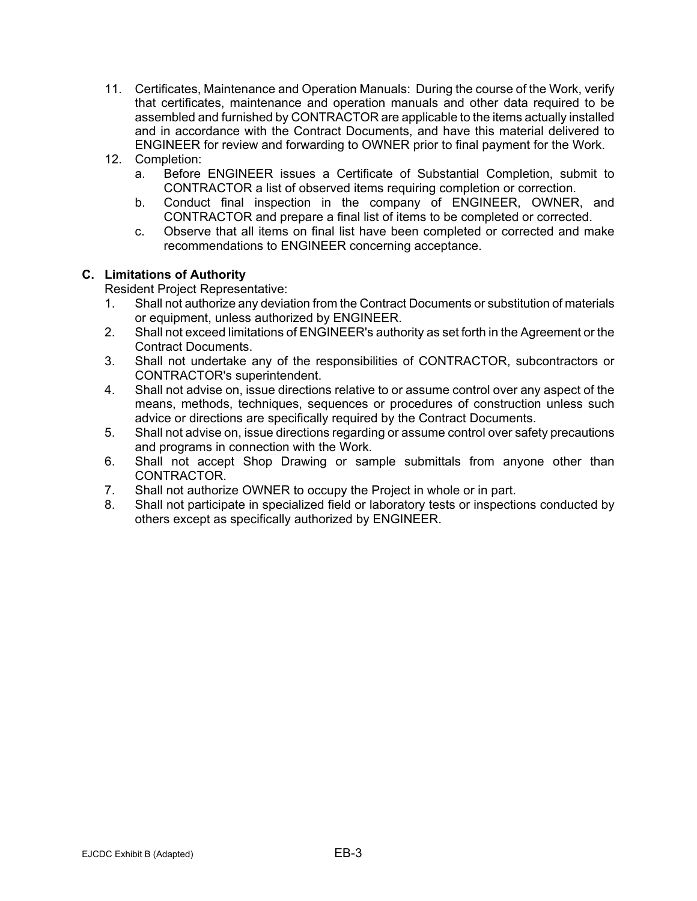- 11. Certificates, Maintenance and Operation Manuals: During the course of the Work, verify that certificates, maintenance and operation manuals and other data required to be assembled and furnished by CONTRACTOR are applicable to the items actually installed and in accordance with the Contract Documents, and have this material delivered to ENGINEER for review and forwarding to OWNER prior to final payment for the Work.
- 12. Completion:
	- a. Before ENGINEER issues a Certificate of Substantial Completion, submit to CONTRACTOR a list of observed items requiring completion or correction.
	- b. Conduct final inspection in the company of ENGINEER, OWNER, and CONTRACTOR and prepare a final list of items to be completed or corrected.
	- c. Observe that all items on final list have been completed or corrected and make recommendations to ENGINEER concerning acceptance.

## **C. Limitations of Authority**

Resident Project Representative:

- 1. Shall not authorize any deviation from the Contract Documents or substitution of materials or equipment, unless authorized by ENGINEER.
- 2. Shall not exceed limitations of ENGINEER's authority as set forth in the Agreement or the Contract Documents.
- 3. Shall not undertake any of the responsibilities of CONTRACTOR, subcontractors or CONTRACTOR's superintendent.
- 4. Shall not advise on, issue directions relative to or assume control over any aspect of the means, methods, techniques, sequences or procedures of construction unless such advice or directions are specifically required by the Contract Documents.
- 5. Shall not advise on, issue directions regarding or assume control over safety precautions and programs in connection with the Work.
- 6. Shall not accept Shop Drawing or sample submittals from anyone other than CONTRACTOR.
- 7. Shall not authorize OWNER to occupy the Project in whole or in part.
- 8. Shall not participate in specialized field or laboratory tests or inspections conducted by others except as specifically authorized by ENGINEER.